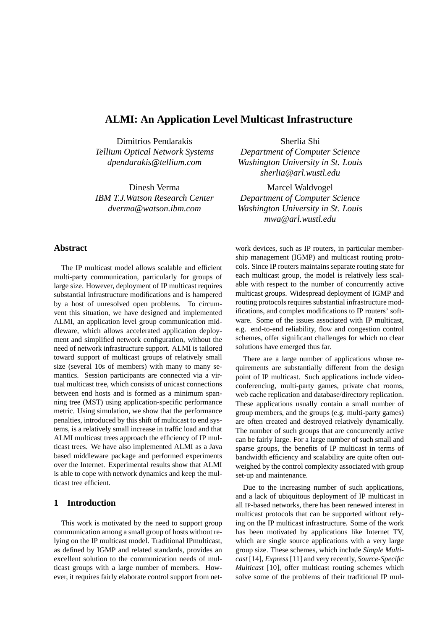# **ALMI: An Application Level Multicast Infrastructure**

Dimitrios Pendarakis *Tellium Optical Network Systems dpendarakis@tellium.com*

Dinesh Verma *IBM T.J.Watson Research Center dverma@watson.ibm.com*

#### **Abstract**

The IP multicast model allows scalable and efficient multi-party communication, particularly for groups of large size. However, deployment of IP multicast requires substantial infrastructure modifications and is hampered by a host of unresolved open problems. To circumvent this situation, we have designed and implemented ALMI, an application level group communication middleware, which allows accelerated application deployment and simplified network configuration, without the need of network infrastructure support. ALMI is tailored toward support of multicast groups of relatively small size (several 10s of members) with many to many semantics. Session participants are connected via a virtual multicast tree, which consists of unicast connections between end hosts and is formed as a minimum spanning tree (MST) using application-specific performance metric. Using simulation, we show that the performance penalties, introduced by this shift of multicast to end systems, is a relatively small increase in traffic load and that ALMI multicast trees approach the efficiency of IP multicast trees. We have also implemented ALMI as a Java based middleware package and performed experiments over the Internet. Experimental results show that ALMI is able to cope with network dynamics and keep the multicast tree efficient.

## **1 Introduction**

This work is motivated by the need to support group communication among a small group of hosts without relying on the IP multicast model. Traditional IPmulticast, as defined by IGMP and related standards, provides an excellent solution to the communication needs of multicast groups with a large number of members. However, it requires fairly elaborate control support from net-

Sherlia Shi *Department of Computer Science Washington University in St. Louis sherlia@arl.wustl.edu*

Marcel Waldvogel *Department of Computer Science Washington University in St. Louis mwa@arl.wustl.edu*

work devices, such as IP routers, in particular membership management (IGMP) and multicast routing protocols. Since IP routers maintains separate routing state for each multicast group, the model is relatively less scalable with respect to the number of concurrently active multicast groups. Widespread deployment of IGMP and routing protocols requires substantial infrastructure modifications, and complex modifications to IP routers' software. Some of the issues associated with IP multicast, e.g. end-to-end reliability, flow and congestion control schemes, offer significant challenges for which no clear solutions have emerged thus far.

There are a large number of applications whose requirements are substantially different from the design point of IP multicast. Such applications include videoconferencing, multi-party games, private chat rooms, web cache replication and database/directory replication. These applications usually contain a small number of group members, and the groups (e.g. multi-party games) are often created and destroyed relatively dynamically. The number of such groups that are concurrently active can be fairly large. For a large number of such small and sparse groups, the benefits of IP multicast in terms of bandwidth efficiency and scalability are quite often outweighed by the control complexity associated with group set-up and maintenance.

Due to the increasing number of such applications, and a lack of ubiquitous deployment of IP multicast in all IP-based networks, there has been renewed interest in multicast protocols that can be supported without relying on the IP multicast infrastructure. Some of the work has been motivated by applications like Internet TV, which are single source applications with a very large group size. These schemes, which include *Simple Multicast* [14], *Express* [11] and very recently, *Source-Specific Multicast* [10], offer multicast routing schemes which solve some of the problems of their traditional IP mul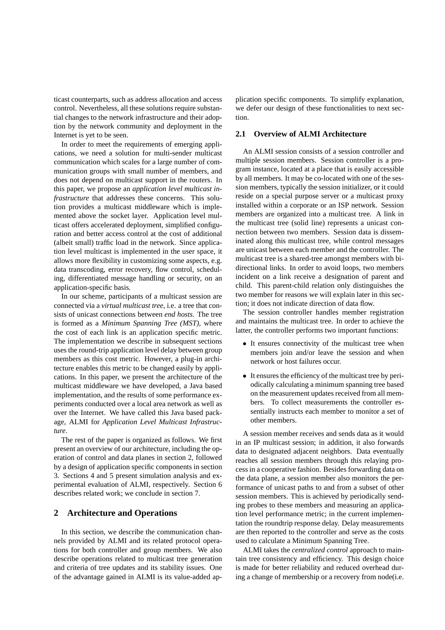ticast counterparts, such as address allocation and access control. Nevertheless, all these solutions require substantial changes to the network infrastructure and their adoption by the network community and deployment in the Internet is yet to be seen.

In order to meet the requirements of emerging applications, we need a solution for multi-sender multicast communication which scales for a large number of communication groups with small number of members, and does not depend on multicast support in the routers. In this paper, we propose an *application level multicast infrastructure* that addresses these concerns. This solution provides a multicast middleware which is implemented above the socket layer. Application level multicast offers accelerated deployment, simplified configuration and better access control at the cost of additional (albeit small) traffic load in the network. Since application level multicast is implemented in the user space, it allows more flexibility in customizing some aspects, e.g. data transcoding, error recovery, flow control, scheduling, differentiated message handling or security, on an application-specific basis.

In our scheme, participants of a multicast session are connected via a *virtual multicast tree*, i.e. a tree that consists of unicast connections between *end hosts*. The tree is formed as a *Minimum Spanning Tree (MST)*, where the cost of each link is an application specific metric. The implementation we describe in subsequent sections uses the round-trip application level delay between group members as this cost metric. However, a plug-in architecture enables this metric to be changed easily by applications. In this paper, we present the architecture of the multicast middleware we have developed, a Java based implementation, and the results of some performance experiments conducted over a local area network as well as over the Internet. We have called this Java based package, ALMI for *Application Level Multicast Infrastructure*.

The rest of the paper is organized as follows. We first present an overview of our architecture, including the operation of control and data planes in section 2, followed by a design of application specific components in section 3. Sections 4 and 5 present simulation analysis and experimental evaluation of ALMI, respectively. Section 6 describes related work; we conclude in section 7.

### **2 Architecture and Operations**

In this section, we describe the communication channels provided by ALMI and its related protocol operations for both controller and group members. We also describe operations related to multicast tree generation and criteria of tree updates and its stability issues. One of the advantage gained in ALMI is its value-added application specific components. To simplify explanation, we defer our design of these functionalities to next section.

### **2.1 Overview of ALMI Architecture**

An ALMI session consists of a session controller and multiple session members. Session controller is a program instance, located at a place that is easily accessible by all members. It may be co-located with one of the session members, typically the session initializer, or it could reside on a special purpose server or a multicast proxy installed within a corporate or an ISP network. Session members are organized into a multicast tree. A link in the multicast tree (solid line) represents a unicast connection between two members. Session data is disseminated along this multicast tree, while control messages are unicast between each member and the controller. The multicast tree is a shared-tree amongst members with bidirectional links. In order to avoid loops, two members incident on a link receive a designation of parent and child. This parent-child relation only distinguishes the two member for reasons we will explain later in this section; it does not indicate direction of data flow.

The session controller handles member registration and maintains the multicast tree. In order to achieve the latter, the controller performs two important functions:

- It ensures connectivity of the multicast tree when members join and/or leave the session and when network or host failures occur.
- It ensuresthe efficiency of the multicast tree by periodically calculating a minimum spanning tree based on the measurement updates received from all members. To collect measurements the controller essentially instructs each member to monitor a set of other members.

A session member receives and sends data as it would in an IP multicast session; in addition, it also forwards data to designated adjacent neighbors. Data eventually reaches all session members through this relaying process in a cooperative fashion. Besides forwarding data on the data plane, a session member also monitors the performance of unicast paths to and from a subset of other session members. This is achieved by periodically sending probes to these members and measuring an application level performance metric; in the current implementation the roundtrip response delay. Delay measurements are then reported to the controller and serve as the costs used to calculate a Minimum Spanning Tree.

ALMI takes the *centralized control* approach to maintain tree consistency and efficiency. This design choice is made for better reliability and reduced overhead during a change of membership or a recovery from node(i.e.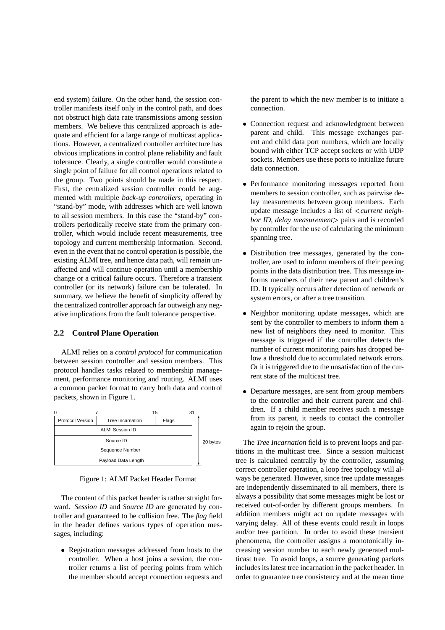end system) failure. On the other hand, the session controller manifests itself only in the control path, and does not obstruct high data rate transmissions among session members. We believe this centralized approach is adequate and efficient for a large range of multicast applications. However, a centralized controller architecture has obvious implications in control plane reliability and fault tolerance. Clearly, a single controller would constitute a single point of failure for all control operations related to the group. Two points should be made in this respect. First, the centralized session controller could be augmented with multiple *back-up controllers*, operating in "stand-by" mode, with addresses which are well known to all session members. In this case the "stand-by" controllers periodically receive state from the primary controller, which would include recent measurements, tree topology and current membership information. Second, even in the event that no control operation is possible, the existing ALMI tree, and hence data path, will remain unaffected and will continue operation until a membership change or a critical failure occurs. Therefore a transient controller (or its network) failure can be tolerated. In summary, we believe the benefit of simplicity offered by the centralized controller approach far outweigh any negative implications from the fault tolerance perspective.

### **2.2 Control Plane Operation**

ALMI relies on a *control protocol* for communication between session controller and session members. This protocol handles tasks related to membership management, performance monitoring and routing. ALMI uses a common packet format to carry both data and control packets, shown in Figure 1.



Figure 1: ALMI Packet Header Format

The content of this packet header is rather straight forward. *Session ID* and *Source ID* are generated by controller and guaranteed to be collision free. The *flag* field in the header defines various types of operation messages, including:

 Registration messages addressed from hosts to the controller. When a host joins a session, the controller returns a list of peering points from which the member should accept connection requests and

the parent to which the new member is to initiate a connection.

- Connection request and acknowledgment between parent and child. This message exchanges parent and child data port numbers, which are locally bound with either TCP accept sockets or with UDP sockets. Members use these ports to initialize future data connection.
- Performance monitoring messages reported from members to session controller, such as pairwise delay measurements between group members. Each update message includes a list of *current neighbor ID, delay measurement*- pairs and is recorded by controller for the use of calculating the minimum spanning tree.
- Distribution tree messages, generated by the controller, are used to inform members of their peering points in the data distribution tree. This message informs members of their new parent and children's ID. It typically occurs after detection of network or system errors, or after a tree transition.
- Neighbor monitoring update messages, which are sent by the controller to members to inform them a new list of neighbors they need to monitor. This message is triggered if the controller detects the number of current monitoring pairs has dropped below a threshold due to accumulated network errors. Or it is triggered due to the unsatisfaction of the current state of the multicast tree.
- Departure messages, are sent from group members to the controller and their current parent and children. If a child member receives such a message from its parent, it needs to contact the controller again to rejoin the group.

The *Tree Incarnation* field is to prevent loops and partitions in the multicast tree. Since a session multicast tree is calculated centrally by the controller, assuming correct controller operation, a loop free topology will always be generated. However, since tree update messages are independently disseminated to all members, there is always a possibility that some messages might be lost or received out-of-order by different groups members. In addition members might act on update messages with varying delay. All of these events could result in loops and/or tree partition. In order to avoid these transient phenomena, the controller assigns a monotonically increasing version number to each newly generated multicast tree. To avoid loops, a source generating packets includes its latest tree incarnation in the packet header. In order to guarantee tree consistency and at the mean time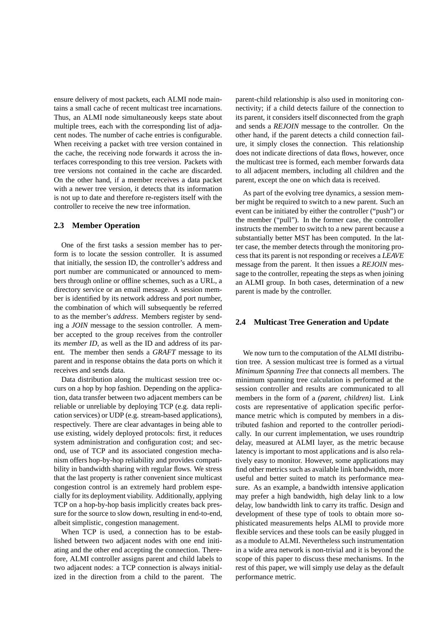ensure delivery of most packets, each ALMI node maintains a small cache of recent multicast tree incarnations. Thus, an ALMI node simultaneously keeps state about multiple trees, each with the corresponding list of adjacent nodes. The number of cache entries is configurable. When receiving a packet with tree version contained in the cache, the receiving node forwards it across the interfaces corresponding to this tree version. Packets with tree versions not contained in the cache are discarded. On the other hand, if a member receives a data packet with a newer tree version, it detects that its information is not up to date and therefore re-registers itself with the controller to receive the new tree information.

#### **2.3 Member Operation**

One of the first tasks a session member has to perform is to locate the session controller. It is assumed that initially, the session ID, the controller's address and port number are communicated or announced to members through online or offline schemes, such as a URL, a directory service or an email message. A session member is identified by its network address and port number, the combination of which will subsequently be referred to as the member's *address*. Members register by sending a *JOIN* message to the session controller. A member accepted to the group receives from the controller its *member ID*, as well as the ID and address of its parent. The member then sends a *GRAFT* message to its parent and in response obtains the data ports on which it receives and sends data.

Data distribution along the multicast session tree occurs on a hop by hop fashion. Depending on the application, data transfer between two adjacent members can be reliable or unreliable by deploying TCP (e.g. data replication services) or UDP (e.g. stream-based applications), respectively. There are clear advantages in being able to use existing, widely deployed protocols: first, it reduces system administration and configuration cost; and second, use of TCP and its associated congestion mechanism offers hop-by-hop reliability and provides compatibility in bandwidth sharing with regular flows. We stress that the last property is rather convenient since multicast congestion control is an extremely hard problem especially for its deployment viability. Additionally, applying TCP on a hop-by-hop basis implicitly creates back pressure for the source to slow down, resulting in end-to-end, albeit simplistic, congestion management.

When TCP is used, a connection has to be established between two adjacent nodes with one end initiating and the other end accepting the connection. Therefore, ALMI controller assigns parent and child labels to two adjacent nodes: a TCP connection is always initialized in the direction from a child to the parent. The parent-child relationship is also used in monitoring connectivity; if a child detects failure of the connection to its parent, it considers itself disconnected from the graph and sends a *REJOIN* message to the controller. On the other hand, if the parent detects a child connection failure, it simply closes the connection. This relationship does not indicate directions of data flows, however, once the multicast tree is formed, each member forwards data to all adjacent members, including all children and the parent, except the one on which data is received.

As part of the evolving tree dynamics, a session member might be required to switch to a new parent. Such an event can be initiated by either the controller ("push") or the member ("pull"). In the former case, the controller instructs the member to switch to a new parent because a substantially better MST has been computed. In the latter case, the member detects through the monitoring process that its parent is not responding or receives a *LEAVE* message from the parent. It then issues a *REJOIN* message to the controller, repeating the steps as when joining an ALMI group. In both cases, determination of a new parent is made by the controller.

#### **2.4 Multicast Tree Generation and Update**

We now turn to the computation of the ALMI distribution tree. A session multicast tree is formed as a virtual *Minimum Spanning Tree* that connects all members. The minimum spanning tree calculation is performed at the session controller and results are communicated to all members in the form of a *(parent, children)* list. Link costs are representative of application specific performance metric which is computed by members in a distributed fashion and reported to the controller periodically. In our current implementation, we uses roundtrip delay, measured at ALMI layer, as the metric because latency is important to most applications and is also relatively easy to monitor. However, some applications may find other metrics such as available link bandwidth, more useful and better suited to match its performance measure. As an example, a bandwidth intensive application may prefer a high bandwidth, high delay link to a low delay, low bandwidth link to carry its traffic. Design and development of these type of tools to obtain more sophisticated measurements helps ALMI to provide more flexible services and these tools can be easily plugged in as a module to ALMI. Nevertheless such instrumentation in a wide area network is non-trivial and it is beyond the scope of this paper to discuss these mechanisms. In the rest of this paper, we will simply use delay as the default performance metric.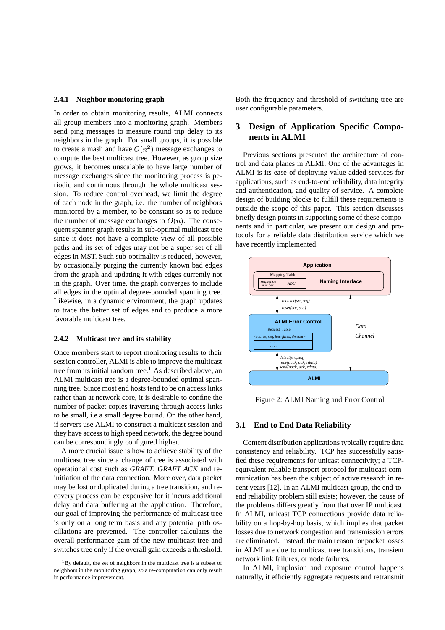#### **2.4.1 Neighbor monitoring graph**

In order to obtain monitoring results, ALMI connects all group members into a monitoring graph. Members send ping messages to measure round trip delay to its neighbors in the graph. For small groups, it is possible to create a mash and have  $O(n^2)$  message exchanges to compute the best multicast tree. However, as group size grows, it becomes unscalable to have large number of message exchanges since the monitoring process is periodic and continuous through the whole multicast session. To reduce control overhead, we limit the degree of each node in the graph, i.e. the number of neighbors monitored by a member, to be constant so as to reduce the number of message exchanges to  $O(n)$ . The consequent spanner graph results in sub-optimal multicast tree since it does not have a complete view of all possible paths and its set of edges may not be a super set of all edges in MST. Such sub-optimality is reduced, however, by occasionally purging the currently known bad edges from the graph and updating it with edges currently not in the graph. Over time, the graph converges to include all edges in the optimal degree-bounded spanning tree. Likewise, in a dynamic environment, the graph updates to trace the better set of edges and to produce a more favorable multicast tree.

#### **2.4.2 Multicast tree and its stability**

Once members start to report monitoring results to their session controller, ALMI is able to improve the multicast tree from its initial random tree.<sup>1</sup> As described above, an ALMI multicast tree is a degree-bounded optimal spanning tree. Since most end hosts tend to be on access links rather than at network core, it is desirable to confine the number of packet copies traversing through access links to be small, i.e a small degree bound. On the other hand, if servers use ALMI to construct a multicast session and they have accessto high speed network, the degree bound can be correspondingly configured higher.

A more crucial issue is how to achieve stability of the multicast tree since a change of tree is associated with operational cost such as *GRAFT*, *GRAFT ACK* and reinitiation of the data connection. More over, data packet may be lost or duplicated during a tree transition, and recovery process can be expensive for it incurs additional delay and data buffering at the application. Therefore, our goal of improving the performance of multicast tree is only on a long term basis and any potential path oscillations are prevented. The controller calculates the overall performance gain of the new multicast tree and switches tree only if the overall gain exceeds a threshold.

Both the frequency and threshold of switching tree are user configurable parameters.

## **3 Design of Application Specific Components in ALMI**

Previous sections presented the architecture of control and data planes in ALMI. One of the advantages in ALMI is its ease of deploying value-added services for applications, such as end-to-end reliability, data integrity and authentication, and quality of service. A complete design of building blocks to fulfill these requirements is outside the scope of this paper. This section discusses briefly design points in supporting some of these components and in particular, we present our design and protocols for a reliable data distribution service which we have recently implemented.



Figure 2: ALMI Naming and Error Control

#### **3.1 End to End Data Reliability**

Content distribution applications typically require data consistency and reliability. TCP has successfully satisfied these requirements for unicast connectivity; a TCPequivalent reliable transport protocol for multicast communication has been the subject of active research in recent years [12]. In an ALMI multicast group, the end-toend reliability problem still exists; however, the cause of the problems differs greatly from that over IP multicast. In ALMI, unicast TCP connections provide data reliability on a hop-by-hop basis, which implies that packet losses due to network congestion and transmission errors are eliminated. Instead, the main reason for packet losses in ALMI are due to multicast tree transitions, transient network link failures, or node failures.

In ALMI, implosion and exposure control happens naturally, it efficiently aggregate requests and retransmit

 ${}^{1}$ By default, the set of neighbors in the multicast tree is a subset of neighbors in the monitoring graph, so a re-computation can only result in performance improvement.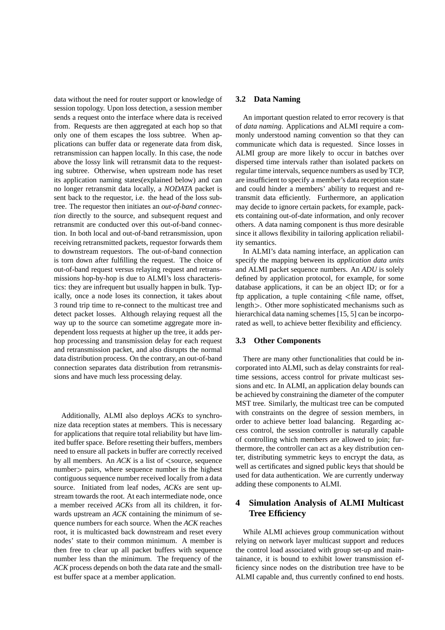data without the need for router support or knowledge of session topology. Upon loss detection, a session member sends a request onto the interface where data is received from. Requests are then aggregated at each hop so that only one of them escapes the loss subtree. When applications can buffer data or regenerate data from disk, retransmission can happen locally. In this case, the node above the lossy link will retransmit data to the requesting subtree. Otherwise, when upstream node has reset its application naming states(explained below) and can no longer retransmit data locally, a *NODATA* packet is sent back to the requestor, i.e. the head of the loss subtree. The requestor then initiates an *out-of-band connection* directly to the source, and subsequent request and retransmit are conducted over this out-of-band connection. In both local and out-of-band retransmission, upon receiving retransmitted packets, requestor forwards them to downstream requestors. The out-of-band connection is torn down after fulfilling the request. The choice of out-of-band request versus relaying request and retransmissions hop-by-hop is due to ALMI's loss characteristics: they are infrequent but usually happen in bulk. Typically, once a node loses its connection, it takes about 3 round trip time to re-connect to the multicast tree and detect packet losses. Although relaying request all the way up to the source can sometime aggregate more independent loss requests at higher up the tree, it adds perhop processing and transmission delay for each request and retransmission packet, and also disrupts the normal data distribution process. On the contrary, an out-of-band connection separates data distribution from retransmissions and have much less processing delay.

Additionally, ALMI also deploys *ACKs* to synchronize data reception states at members. This is necessary for applications that require total reliability but have limited buffer space. Before resetting their buffers, members need to ensure all packets in buffer are correctly received by all members. An  $ACK$  is a list of  $\lt$  source, sequence number > pairs, where sequence number is the highest contiguous sequence number received locally from a data source. Initiated from leaf nodes, *ACKs* are sent upstream towards the root. At each intermediate node, once a member received *ACKs* from all its children, it forwards upstream an *ACK* containing the minimum of sequence numbers for each source. When the *ACK* reaches root, it is multicasted back downstream and reset every nodes' state to their common minimum. A member is then free to clear up all packet buffers with sequence number less than the minimum. The frequency of the *ACK* process depends on both the data rate and the smallest buffer space at a member application.

### **3.2 Data Naming**

An important question related to error recovery is that of *data naming*. Applications and ALMI require a commonly understood naming convention so that they can communicate which data is requested. Since losses in ALMI group are more likely to occur in batches over dispersed time intervals rather than isolated packets on regular time intervals, sequence numbers as used by TCP, are insufficient to specify a member's data reception state and could hinder a members' ability to request and retransmit data efficiently. Furthermore, an application may decide to ignore certain packets, for example, packets containing out-of-date information, and only recover others. A data naming component is thus more desirable since it allows flexibility in tailoring application reliability semantics.

In ALMI's data naming interface, an application can specify the mapping between its *application data units* and ALMI packet sequence numbers. An *ADU* is solely defined by application protocol, for example, for some database applications, it can be an object ID; or for a ftp application, a tuple containing file name, offset, length >. Other more sophisticated mechanisms such as hierarchical data naming schemes [15, 5] can be incorporated as well, to achieve better flexibility and efficiency.

## **3.3 Other Components**

There are many other functionalities that could be incorporated into ALMI, such as delay constraints for realtime sessions, access control for private multicast sessions and etc. In ALMI, an application delay bounds can be achieved by constraining the diameter of the computer MST tree. Similarly, the multicast tree can be computed with constraints on the degree of session members, in order to achieve better load balancing. Regarding access control, the session controller is naturally capable of controlling which members are allowed to join; furthermore, the controller can act as a key distribution center, distributing symmetric keys to encrypt the data, as well as certificates and signed public keys that should be used for data authentication. We are currently underway adding these components to ALMI.

## **4 Simulation Analysis of ALMI Multicast Tree Efficiency**

While ALMI achieves group communication without relying on network layer multicast support and reduces the control load associated with group set-up and maintainance, it is bound to exhibit lower transmission efficiency since nodes on the distribution tree have to be ALMI capable and, thus currently confined to end hosts.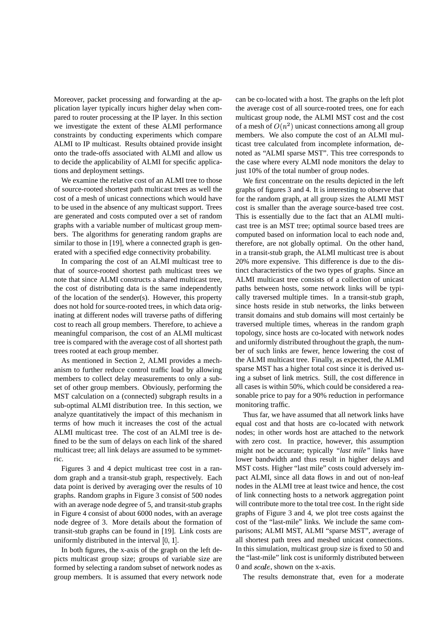Moreover, packet processing and forwarding at the application layer typically incurs higher delay when compared to router processing at the IP layer. In this section we investigate the extent of these ALMI performance constraints by conducting experiments which compare ALMI to IP multicast. Results obtained provide insight onto the trade-offs associated with ALMI and allow us to decide the applicability of ALMI for specific applications and deployment settings.

We examine the relative cost of an ALMI tree to those of source-rooted shortest path multicast trees as well the cost of a mesh of unicast connections which would have to be used in the absence of any multicast support. Trees are generated and costs computed over a set of random graphs with a variable number of multicast group members. The algorithms for generating random graphs are similar to those in [19], where a connected graph is generated with a specified edge connectivity probability.

In comparing the cost of an ALMI multicast tree to that of source-rooted shortest path multicast trees we note that since ALMI constructs a shared multicast tree, the cost of distributing data is the same independently of the location of the sender(s). However, this property does not hold for source-rooted trees, in which data originating at different nodes will traverse paths of differing cost to reach all group members. Therefore, to achieve a meaningful comparison, the cost of an ALMI multicast tree is compared with the average cost of all shortest path trees rooted at each group member.

As mentioned in Section 2, ALMI provides a mechanism to further reduce control traffic load by allowing members to collect delay measurements to only a subset of other group members. Obviously, performing the MST calculation on a (connected) subgraph results in a sub-optimal ALMI distribution tree. In this section, we analyze quantitatively the impact of this mechanism in terms of how much it increases the cost of the actual ALMI multicast tree. The cost of an ALMI tree is defined to be the sum of delays on each link of the shared multicast tree; all link delays are assumed to be symmetric.

Figures 3 and 4 depict multicast tree cost in a random graph and a transit-stub graph, respectively. Each data point is derived by averaging over the results of 10 graphs. Random graphs in Figure 3 consist of 500 nodes with an average node degree of 5, and transit-stub graphs in Figure 4 consist of about 6000 nodes, with an average node degree of 3. More details about the formation of transit-stub graphs can be found in [19]. Link costs are uniformly distributed in the interval  $[0, 1]$ .

In both figures, the x-axis of the graph on the left depicts multicast group size; groups of variable size are formed by selecting a random subset of network nodes as group members. It is assumed that every network node can be co-located with a host. The graphs on the left plot the average cost of all source-rooted trees, one for each multicast group node, the ALMI MST cost and the cost of a mesh of  $O(n^2)$  unicast connections among all group members. We also compute the cost of an ALMI multicast tree calculated from incomplete information, denoted as "ALMI sparse MST". This tree corresponds to the case where every ALMI node monitors the delay to just 10% of the total number of group nodes.

We first concentrate on the results depicted in the left graphs of figures 3 and 4. It is interesting to observe that for the random graph, at all group sizes the ALMI MST cost is smaller than the average source-based tree cost. This is essentially due to the fact that an ALMI multicast tree is an MST tree; optimal source based trees are computed based on information local to each node and, therefore, are not globally optimal. On the other hand, in a transit-stub graph, the ALMI multicast tree is about 20% more expensive. This difference is due to the distinct characteristics of the two types of graphs. Since an ALMI multicast tree consists of a collection of unicast paths between hosts, some network links will be typically traversed multiple times. In a transit-stub graph, since hosts reside in stub networks, the links between transit domains and stub domains will most certainly be traversed multiple times, whereas in the random graph topology, since hosts are co-located with network nodes and uniformly distributed throughout the graph, the number of such links are fewer, hence lowering the cost of the ALMI multicast tree. Finally, as expected, the ALMI sparse MST has a higher total cost since it is derived using a subset of link metrics. Still, the cost difference in all cases is within 50%, which could be considered a reasonable price to pay for a 90% reduction in performance monitoring traffic.

Thus far, we have assumed that all network links have equal cost and that hosts are co-located with network nodes; in other words host are attached to the network with zero cost. In practice, however, this assumption might not be accurate; typically *"last mile"* links have lower bandwidth and thus result in higher delays and MST costs. Higher "last mile" costs could adversely impact ALMI, since all data flows in and out of non-leaf nodes in the ALMI tree at least twice and hence, the cost of link connecting hosts to a network aggregation point will contribute more to the total tree cost. In the right side graphs of Figure 3 and 4, we plot tree costs against the cost of the "last-mile" links. We include the same comparisons; ALMI MST, ALMI "sparse MST", average of all shortest path trees and meshed unicast connections. In this simulation, multicast group size is fixed to 50 and the "last-mile" link cost is uniformly distributed between 0 and  $scale$ , shown on the x-axis.

The results demonstrate that, even for a moderate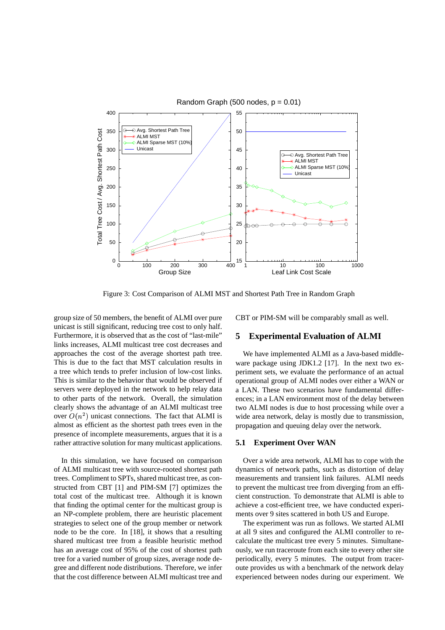

Figure 3: Cost Comparison of ALMI MST and Shortest Path Tree in Random Graph

group size of 50 members, the benefit of ALMI over pure unicast is still significant, reducing tree cost to only half. Furthermore, it is observed that as the cost of "last-mile" links increases, ALMI multicast tree cost decreases and approaches the cost of the average shortest path tree. This is due to the fact that MST calculation results in a tree which tends to prefer inclusion of low-cost links. This is similar to the behavior that would be observed if servers were deployed in the network to help relay data to other parts of the network. Overall, the simulation clearly shows the advantage of an ALMI multicast tree over  $O(n^2)$  unicast connections. The fact that ALMI is almost as efficient as the shortest path trees even in the presence of incomplete measurements, argues that it is a rather attractive solution for many multicast applications.

In this simulation, we have focused on comparison of ALMI multicast tree with source-rooted shortest path trees. Compliment to SPTs, shared multicast tree, as constructed from CBT [1] and PIM-SM [7] optimizes the total cost of the multicast tree. Although it is known that finding the optimal center for the multicast group is an NP-complete problem, there are heuristic placement strategies to select one of the group member or network node to be the core. In [18], it shows that a resulting shared multicast tree from a feasible heuristic method has an average cost of 95% of the cost of shortest path tree for a varied number of group sizes, average node degree and different node distributions. Therefore, we infer that the cost difference between ALMI multicast tree and CBT or PIM-SM will be comparably small as well.

### **5 Experimental Evaluation of ALMI**

We have implemented ALMI as a Java-based middleware package using JDK1.2 [17]. In the next two experiment sets, we evaluate the performance of an actual operational group of ALMI nodes over either a WAN or a LAN. These two scenarios have fundamental differences; in a LAN environment most of the delay between two ALMI nodes is due to host processing while over a wide area network, delay is mostly due to transmission, propagation and queuing delay over the network.

#### **5.1 Experiment Over WAN**

Over a wide area network, ALMI has to cope with the dynamics of network paths, such as distortion of delay measurements and transient link failures. ALMI needs to prevent the multicast tree from diverging from an efficient construction. To demonstrate that ALMI is able to achieve a cost-efficient tree, we have conducted experiments over 9 sites scattered in both US and Europe.

The experiment was run as follows. We started ALMI at all 9 sites and configured the ALMI controller to recalculate the multicast tree every 5 minutes. Simultaneously, we run traceroute from each site to every other site periodically, every 5 minutes. The output from traceroute provides us with a benchmark of the network delay experienced between nodes during our experiment. We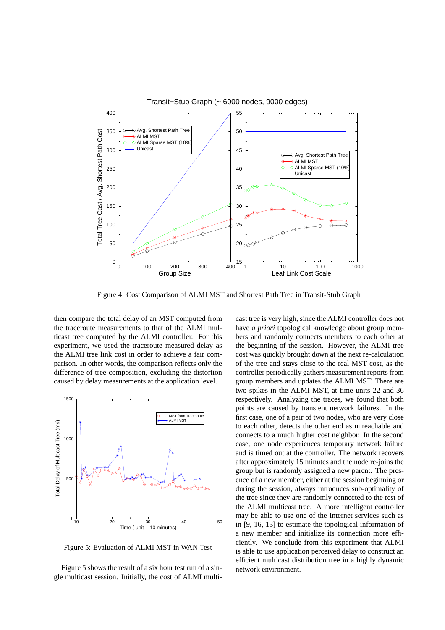

Figure 4: Cost Comparison of ALMI MST and Shortest Path Tree in Transit-Stub Graph

then compare the total delay of an MST computed from the traceroute measurements to that of the ALMI multicast tree computed by the ALMI controller. For this experiment, we used the traceroute measured delay as the ALMI tree link cost in order to achieve a fair comparison. In other words, the comparison reflects only the difference of tree composition, excluding the distortion caused by delay measurements at the application level.



Figure 5: Evaluation of ALMI MST in WAN Test

Figure 5 shows the result of a six hour test run of a single multicast session. Initially, the cost of ALMI multicast tree is very high, since the ALMI controller does not have *a priori* topological knowledge about group members and randomly connects members to each other at the beginning of the session. However, the ALMI tree cost was quickly brought down at the next re-calculation of the tree and stays close to the real MST cost, as the controller periodically gathers measurement reports from group members and updates the ALMI MST. There are two spikes in the ALMI MST, at time units 22 and 36 respectively. Analyzing the traces, we found that both points are caused by transient network failures. In the first case, one of a pair of two nodes, who are very close to each other, detects the other end as unreachable and connects to a much higher cost neighbor. In the second case, one node experiences temporary network failure and is timed out at the controller. The network recovers after approximately 15 minutes and the node re-joins the group but is randomly assigned a new parent. The presence of a new member, either at the session beginning or during the session, always introduces sub-optimality of the tree since they are randomly connected to the rest of the ALMI multicast tree. A more intelligent controller may be able to use one of the Internet services such as in [9, 16, 13] to estimate the topological information of a new member and initialize its connection more efficiently. We conclude from this experiment that ALMI is able to use application perceived delay to construct an efficient multicast distribution tree in a highly dynamic network environment.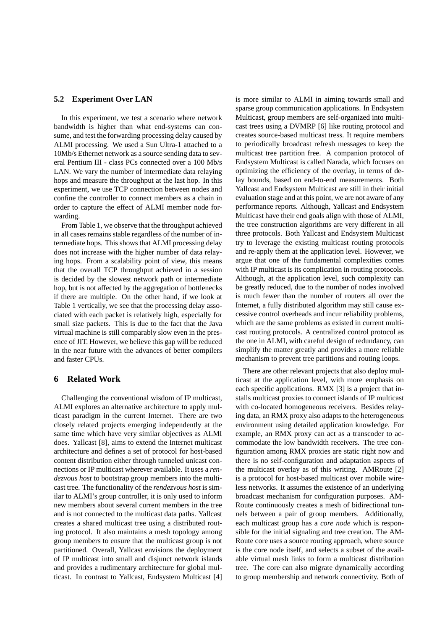#### **5.2 Experiment Over LAN**

In this experiment, we test a scenario where network bandwidth is higher than what end-systems can consume, and test the forwarding processing delay caused by ALMI processing. We used a Sun Ultra-1 attached to a 10Mb/s Ethernet network as a source sending data to several Pentium III - class PCs connected over a 100 Mb/s LAN. We vary the number of intermediate data relaying hops and measure the throughput at the last hop. In this experiment, we use TCP connection between nodes and confine the controller to connect members as a chain in order to capture the effect of ALMI member node forwarding.

From Table 1, we observe that the throughput achieved in all cases remains stable regardless of the number of intermediate hops. This shows that ALMI processing delay does not increase with the higher number of data relaying hops. From a scalability point of view, this means that the overall TCP throughput achieved in a session is decided by the slowest network path or intermediate hop, but is not affected by the aggregation of bottlenecks if there are multiple. On the other hand, if we look at Table 1 vertically, we see that the processing delay associated with each packet is relatively high, especially for small size packets. This is due to the fact that the Java virtual machine is still comparably slow even in the presence of JIT. However, we believe this gap will be reduced in the near future with the advances of better compilers and faster CPUs.

### **6 Related Work**

Challenging the conventional wisdom of IP multicast, ALMI explores an alternative architecture to apply multicast paradigm in the current Internet. There are two closely related projects emerging independently at the same time which have very similar objectives as ALMI does. Yallcast [8], aims to extend the Internet multicast architecture and defines a set of protocol for host-based content distribution either through tunneled unicast connections or IP multicast wherever available. It uses a *rendezvous host* to bootstrap group members into the multicast tree. The functionality of the *rendezvous host* is similar to ALMI's group controller, it is only used to inform new members about several current members in the tree and is not connected to the multicast data paths. Yallcast creates a shared multicast tree using a distributed routing protocol. It also maintains a mesh topology among group members to ensure that the multicast group is not partitioned. Overall, Yallcast envisions the deployment of IP multicast into small and disjunct network islands and provides a rudimentary architecture for global multicast. In contrast to Yallcast, Endsystem Multicast [4] is more similar to ALMI in aiming towards small and sparse group communication applications. In Endsystem Multicast, group members are self-organized into multicast trees using a DVMRP [6] like routing protocol and creates source-based multicast tress. It require members to periodically broadcast refresh messages to keep the multicast tree partition free. A companion protocol of Endsystem Multicast is called Narada, which focuses on optimizing the efficiency of the overlay, in terms of delay bounds, based on end-to-end measurements. Both Yallcast and Endsystem Multicast are still in their initial evaluation stage and at this point, we are not aware of any performance reports. Although, Yallcast and Endsystem Multicast have their end goals align with those of ALMI, the tree construction algorithms are very different in all three protocols. Both Yallcast and Endsystem Multicast try to leverage the existing multicast routing protocols and re-apply them at the application level. However, we argue that one of the fundamental complexities comes with IP multicast is its complication in routing protocols. Although, at the application level, such complexity can be greatly reduced, due to the number of nodes involved is much fewer than the number of routers all over the Internet, a fully distributed algorithm may still cause excessive control overheads and incur reliability problems, which are the same problems as existed in current multicast routing protocols. A centralized control protocol as the one in ALMI, with careful design of redundancy, can simplify the matter greatly and provides a more reliable mechanism to prevent tree partitions and routing loops.

There are other relevant projects that also deploy multicast at the application level, with more emphasis on each specific applications. RMX [3] is a project that installs multicast proxies to connect islands of IP multicast with co-located homogeneous receivers. Besides relaying data, an RMX proxy also adapts to the heterogeneous environment using detailed application knowledge. For example, an RMX proxy can act as a transcoder to accommodate the low bandwidth receivers. The tree configuration among RMX proxies are static right now and there is no self-configuration and adaptation aspects of the multicast overlay as of this writing. AMRoute [2] is a protocol for host-based multicast over mobile wireless networks. It assumes the existence of an underlying broadcast mechanism for configuration purposes. AM-Route continuously creates a mesh of bidirectional tunnels between a pair of group members. Additionally, each multicast group has a *core node* which is responsible for the initial signaling and tree creation. The AM-Route core uses a source routing approach, where source is the core node itself, and selects a subset of the available virtual mesh links to form a multicast distribution tree. The core can also migrate dynamically according to group membership and network connectivity. Both of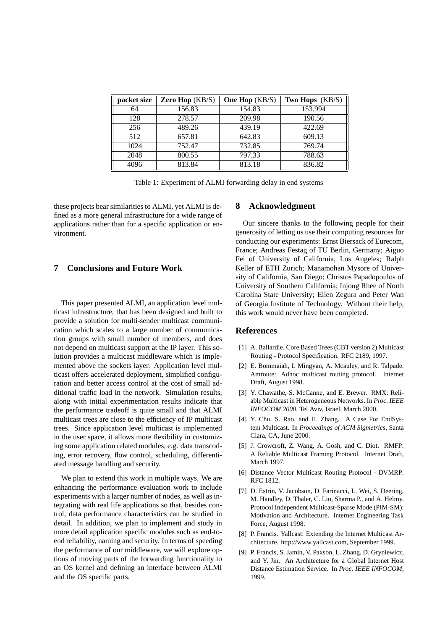| packet size | Zero Hop $(KB/S)$ | <b>One Hop</b> (KB/S) | Two Hops (KB/S) |
|-------------|-------------------|-----------------------|-----------------|
| 64          | 156.83            | 154.83                | 153.994         |
| 128         | 278.57            | 209.98                | 190.56          |
| 256         | 489.26            | 439.19                | 422.69          |
| 512         | 657.81            | 642.83                | 609.13          |
| 1024        | 752.47            | 732.85                | 769.74          |
| 2048        | 800.55            | 797.33                | 788.63          |
| 4096        | 813.84            | 813.18                | 836.82          |

Table 1: Experiment of ALMI forwarding delay in end systems

these projects bear similarities to ALMI, yet ALMI is defined as a more general infrastructure for a wide range of applications rather than for a specific application or environment.

## **7 Conclusions and Future Work**

This paper presented ALMI, an application level multicast infrastructure, that has been designed and built to provide a solution for multi-sender multicast communication which scales to a large number of communication groups with small number of members, and does not depend on multicast support at the IP layer. This solution provides a multicast middleware which is implemented above the sockets layer. Application level multicast offers accelerated deployment, simplified configuration and better access control at the cost of small additional traffic load in the network. Simulation results, along with initial experimentation results indicate that the performance tradeoff is quite small and that ALMI multicast trees are close to the efficiency of IP multicast trees. Since application level multicast is implemented in the user space, it allows more flexibility in customizing some application related modules, e.g. data transcoding, error recovery, flow control, scheduling, differentiated message handling and security.

We plan to extend this work in multiple ways. We are enhancing the performance evaluation work to include experiments with a larger number of nodes, as well as integrating with real life applications so that, besides control, data performance characteristics can be studied in detail. In addition, we plan to implement and study in more detail application specific modules such as end-toend reliability, naming and security. In terms of speeding the performance of our middleware, we will explore options of moving parts of the forwarding functionality to an OS kernel and defining an interface between ALMI and the OS specific parts.

#### **8 Acknowledgment**

Our sincere thanks to the following people for their generosity of letting us use their computing resources for conducting our experiments: Ernst Biersack of Eurecom, France; Andreas Festag of TU Berlin, Germany; Aiguo Fei of University of California, Los Angeles; Ralph Keller of ETH Zurich; Manamohan Mysore of University of California, San Diego; Christos Papadopoulos of University of Southern California; Injong Rhee of North Carolina State University; Ellen Zegura and Peter Wan of Georgia Institute of Technology. Without their help, this work would never have been completed.

### **References**

- [1] A. Ballardie. Core Based Trees (CBT version 2) Multicast Routing - Protocol Specification. RFC 2189, 1997.
- [2] E. Bommaiah, L Mingyan, A. Mcauley, and R. Talpade. Amroute: Adhoc multicast routing protocol. Internet Draft, August 1998.
- [3] Y. Chawathe, S. McCanne, and E. Brewer. RMX: Reliable Multicast in Heterogeneous Networks. In *Proc. IEEE INFOCOM 2000*, Tel Aviv, Israel, March 2000.
- [4] Y. Chu, S. Rao, and H. Zhang. A Case For EndSystem Multicast. In *Proceedings of ACM Sigmetrics*, Santa Clara, CA, June 2000.
- [5] J. Crowcroft, Z. Wang, A. Gosh, and C. Diot. RMFP: A Reliable Multicast Framing Protocol. Internet Draft, March 1997.
- [6] Distance Vector Multicast Routing Protocol DVMRP. RFC 1812.
- [7] D. Estrin, V. Jacobson, D. Farinacci, L. Wei, S. Deering, M. Handley, D. Thaler, C. Liu, Sharma P., and A. Helmy. Protocol Independent Multicast-Sparse Mode (PIM-SM): Motivation and Architecture. Internet Engineering Task Force, August 1998.
- [8] P. Francis. Yallcast: Extending the Internet Multicast Architecture. http://www.yallcast.com, September 1999.
- [9] P. Francis, S. Jamin, V. Paxson, L. Zhang, D. Gryniewicz, and Y. Jin. An Architecture for a Global Internet Host Distance Estimation Service. In *Proc. IEEE INFOCOM*, 1999.